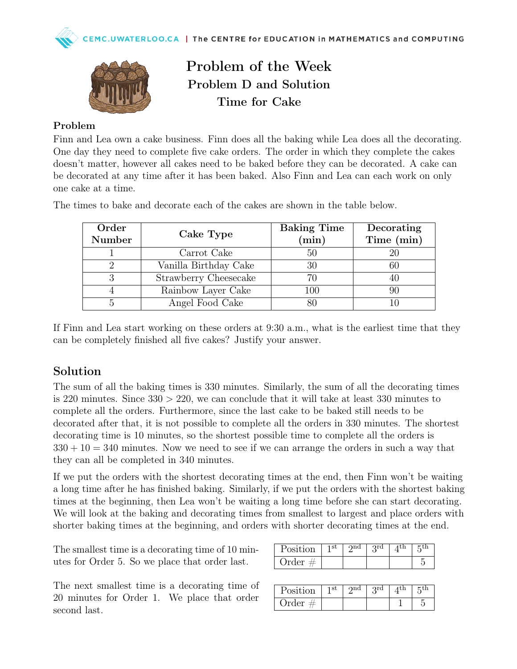

## Problem of the Week Problem D and Solution Time for Cake

### Problem

Finn and Lea own a cake business. Finn does all the baking while Lea does all the decorating. One day they need to complete five cake orders. The order in which they complete the cakes doesn't matter, however all cakes need to be baked before they can be decorated. A cake can be decorated at any time after it has been baked. Also Finn and Lea can each work on only one cake at a time.

| Order<br>Number | Cake Type             | <b>Baking Time</b><br>$(\min)$ | Decorating<br>Time (min) |
|-----------------|-----------------------|--------------------------------|--------------------------|
|                 | Carrot Cake           | 50                             | 20                       |
|                 | Vanilla Birthday Cake |                                | 60                       |
| 3               | Strawberry Cheesecake |                                | 40                       |
|                 | Rainbow Layer Cake    | 100                            | 90                       |
| 5               | Angel Food Cake       |                                |                          |

The times to bake and decorate each of the cakes are shown in the table below.

If Finn and Lea start working on these orders at 9:30 a.m., what is the earliest time that they can be completely finished all five cakes? Justify your answer.

## Solution

The sum of all the baking times is 330 minutes. Similarly, the sum of all the decorating times is 220 minutes. Since  $330 > 220$ , we can conclude that it will take at least 330 minutes to complete all the orders. Furthermore, since the last cake to be baked still needs to be decorated after that, it is not possible to complete all the orders in 330 minutes. The shortest decorating time is 10 minutes, so the shortest possible time to complete all the orders is  $330 + 10 = 340$  minutes. Now we need to see if we can arrange the orders in such a way that they can all be completed in 340 minutes.

If we put the orders with the shortest decorating times at the end, then Finn won't be waiting a long time after he has finished baking. Similarly, if we put the orders with the shortest baking times at the beginning, then Lea won't be waiting a long time before she can start decorating. We will look at the baking and decorating times from smallest to largest and place orders with shorter baking times at the beginning, and orders with shorter decorating times at the end.

The smallest time is a decorating time of 10 minutes for Order 5. So we place that order last.

The next smallest time is a decorating time of 20 minutes for Order 1. We place that order second last.

| Position  | 1st | $\gamma$ nd | 3 <sup>rd</sup> | 1th |  |
|-----------|-----|-------------|-----------------|-----|--|
| Order $#$ |     |             |                 |     |  |

| Position       | 1 st | വെ | ord |  |
|----------------|------|----|-----|--|
| Order <i>†</i> |      |    |     |  |